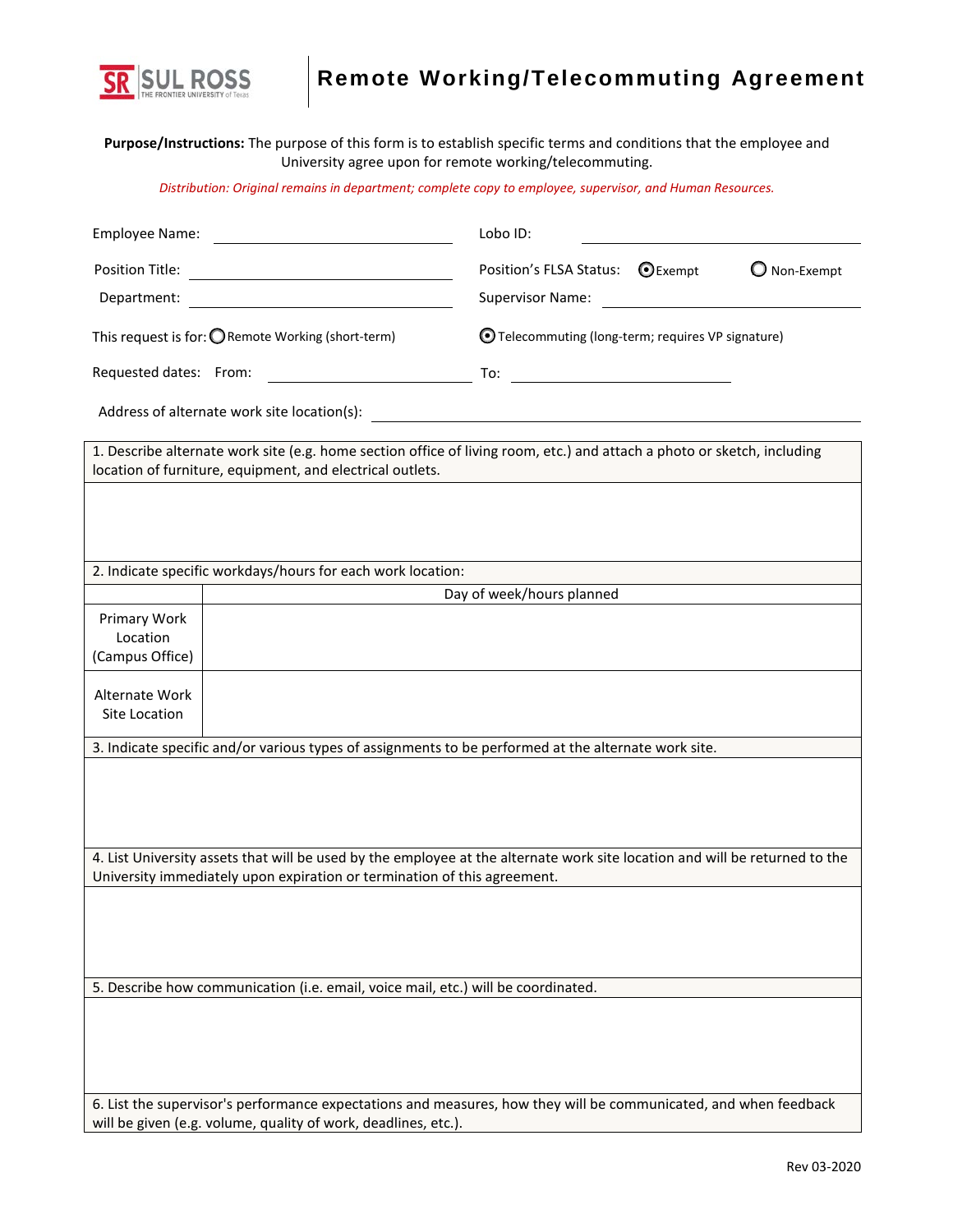

## **Remote Working/Telecommuting Agreement**

**Purpose/Instructions:** The purpose of this form is to establish specific terms and conditions that the employee and University agree upon for remote working/telecommuting.

*Distribution: Original remains in department; complete copy to employee, supervisor, and Human Resources.*

| Employee Name:<br><u> 1989 - Johann Barbara, martxa eta idazlea (h. 1989).</u>                                                                                                     | Lobo ID:                                                                                                                |  |  |
|------------------------------------------------------------------------------------------------------------------------------------------------------------------------------------|-------------------------------------------------------------------------------------------------------------------------|--|--|
| Position Title:<br><u> 1989 - Johann Stoff, deutscher Stoffen und der Stoffen und der Stoffen und der Stoffen und der Stoffen und der</u>                                          | Position's FLSA Status: ● Exempt<br>Non-Exempt                                                                          |  |  |
| Department:                                                                                                                                                                        | Supervisor Name: Supervisor Name:                                                                                       |  |  |
| This request is for: O Remote Working (short-term)                                                                                                                                 | O Telecommuting (long-term; requires VP signature)                                                                      |  |  |
| <u> 1990 - Johann Barbara, martin a</u><br>Requested dates: From:                                                                                                                  |                                                                                                                         |  |  |
| Address of alternate work site location(s):                                                                                                                                        |                                                                                                                         |  |  |
| location of furniture, equipment, and electrical outlets.                                                                                                                          | 1. Describe alternate work site (e.g. home section office of living room, etc.) and attach a photo or sketch, including |  |  |
|                                                                                                                                                                                    |                                                                                                                         |  |  |
|                                                                                                                                                                                    |                                                                                                                         |  |  |
| 2. Indicate specific workdays/hours for each work location:                                                                                                                        |                                                                                                                         |  |  |
|                                                                                                                                                                                    | Day of week/hours planned                                                                                               |  |  |
| Primary Work                                                                                                                                                                       |                                                                                                                         |  |  |
| Location                                                                                                                                                                           |                                                                                                                         |  |  |
| (Campus Office)                                                                                                                                                                    |                                                                                                                         |  |  |
| Alternate Work                                                                                                                                                                     |                                                                                                                         |  |  |
| Site Location                                                                                                                                                                      |                                                                                                                         |  |  |
|                                                                                                                                                                                    |                                                                                                                         |  |  |
| 3. Indicate specific and/or various types of assignments to be performed at the alternate work site.                                                                               |                                                                                                                         |  |  |
|                                                                                                                                                                                    |                                                                                                                         |  |  |
|                                                                                                                                                                                    |                                                                                                                         |  |  |
|                                                                                                                                                                                    |                                                                                                                         |  |  |
|                                                                                                                                                                                    |                                                                                                                         |  |  |
| 4. List University assets that will be used by the employee at the alternate work site location and will be returned to the                                                        |                                                                                                                         |  |  |
| University immediately upon expiration or termination of this agreement.                                                                                                           |                                                                                                                         |  |  |
|                                                                                                                                                                                    |                                                                                                                         |  |  |
|                                                                                                                                                                                    |                                                                                                                         |  |  |
|                                                                                                                                                                                    |                                                                                                                         |  |  |
| 5. Describe how communication (i.e. email, voice mail, etc.) will be coordinated.                                                                                                  |                                                                                                                         |  |  |
|                                                                                                                                                                                    |                                                                                                                         |  |  |
|                                                                                                                                                                                    |                                                                                                                         |  |  |
|                                                                                                                                                                                    |                                                                                                                         |  |  |
|                                                                                                                                                                                    |                                                                                                                         |  |  |
|                                                                                                                                                                                    |                                                                                                                         |  |  |
| 6. List the supervisor's performance expectations and measures, how they will be communicated, and when feedback<br>will be given (e.g. volume, quality of work, deadlines, etc.). |                                                                                                                         |  |  |